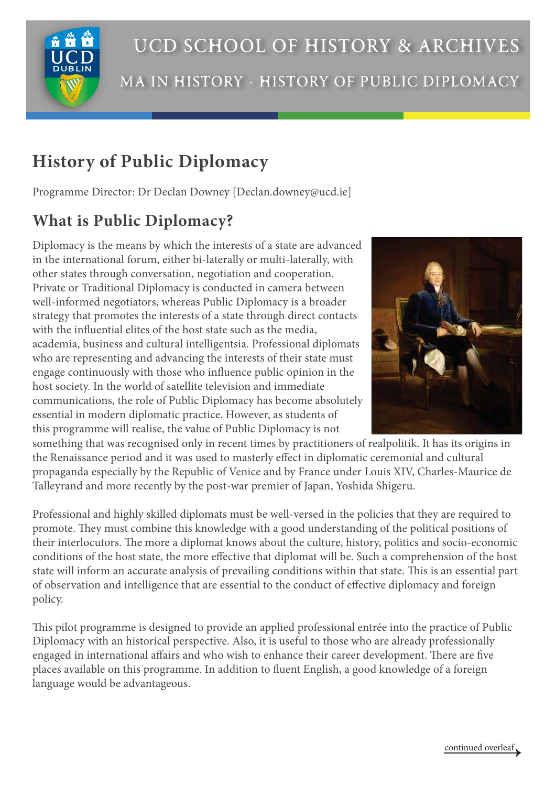

# **History of Public Diplomacy**

Programme Director: Dr Declan Downey [Declan.downey@ucd.ie]

## **What is Public Diplomacy?**

Diplomacy is the means by which the interests of a state are advanced in the international forum, either bi-laterally or multi-laterally, with other states through conversation, negotiation and cooperation. Private or Traditional Diplomacy is conducted in camera between well-informed negotiators, whereas Public Diplomacy is a broader strategy that promotes the interests of a state through direct contacts with the influential elites of the host state such as the media, academia, business and cultural intelligentsia. Professional diplomats who are representing and advancing the interests of their state must engage continuously with those who influence public opinion in the host society. In the world of satellite television and immediate communications, the role of Public Diplomacy has become absolutely essential in modern diplomatic practice. However, as students of this programme will realise, the value of Public Diplomacy is not



something that was recognised only in recent times by practitioners of realpolitik. It has its origins in the Renaissance period and it was used to masterly effect in diplomatic ceremonial and cultural propaganda especially by the Republic of Venice and by France under Louis XIV, Charles-Maurice de Talleyrand and more recently by the post-war premier of Japan, Yoshida Shigeru.

Professional and highly skilled diplomats must be well-versed in the policies that they are required to promote. They must combine this knowledge with a good understanding of the political positions of their interlocutors. The more a diplomat knows about the culture, history, politics and socio-economic conditions of the host state, the more effective that diplomat will be. Such a comprehension of the host state will inform an accurate analysis of prevailing conditions within that state. This is an essential part of observation and intelligence that are essential to the conduct of effective diplomacy and foreign policy.

This pilot programme is designed to provide an applied professional entrée into the practice of Public Diplomacy with an historical perspective. Also, it is useful to those who are already professionally engaged in international affairs and who wish to enhance their career development. There are five places available on this programme. In addition to fluent English, a good knowledge of a foreign language would be advantageous.